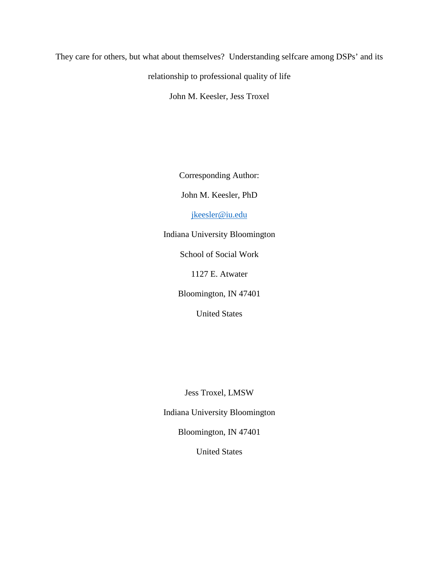### They care for others, but what about themselves? Understanding selfcare among DSPs' and its

relationship to professional quality of life

John M. Keesler, Jess Troxel

Corresponding Author:

John M. Keesler, PhD

[jkeesler@iu.edu](mailto:jkeesler@iu.edu)

Indiana University Bloomington

School of Social Work

1127 E. Atwater

Bloomington, IN 47401

United States

Jess Troxel, LMSW

Indiana University Bloomington

Bloomington, IN 47401

United States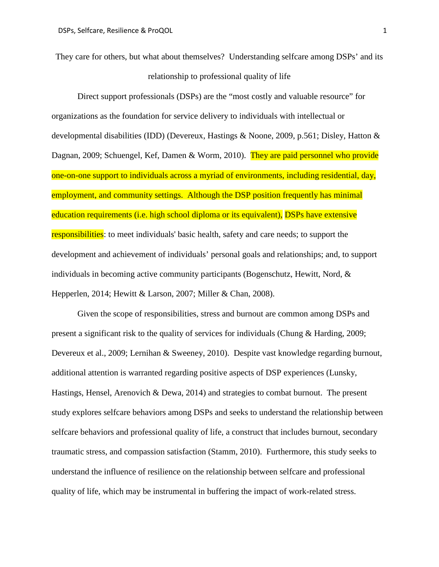They care for others, but what about themselves? Understanding selfcare among DSPs' and its relationship to professional quality of life

Direct support professionals (DSPs) are the "most costly and valuable resource" for organizations as the foundation for service delivery to individuals with intellectual or developmental disabilities (IDD) (Devereux, Hastings & Noone, 2009, p.561; Disley, Hatton & Dagnan, 2009; Schuengel, Kef, Damen & Worm, 2010). They are paid personnel who provide one-on-one support to individuals across a myriad of environments, including residential, day, employment, and community settings. Although the DSP position frequently has minimal education requirements (i.e. high school diploma or its equivalent), DSPs have extensive responsibilities: to meet individuals' basic health, safety and care needs; to support the development and achievement of individuals' personal goals and relationships; and, to support individuals in becoming active community participants (Bogenschutz, Hewitt, Nord, & Hepperlen, 2014; Hewitt & Larson, 2007; Miller & Chan, 2008).

Given the scope of responsibilities, stress and burnout are common among DSPs and present a significant risk to the quality of services for individuals (Chung & Harding, 2009; Devereux et al., 2009; Lernihan & Sweeney, 2010). Despite vast knowledge regarding burnout, additional attention is warranted regarding positive aspects of DSP experiences (Lunsky, Hastings, Hensel, Arenovich & Dewa, 2014) and strategies to combat burnout. The present study explores selfcare behaviors among DSPs and seeks to understand the relationship between selfcare behaviors and professional quality of life, a construct that includes burnout, secondary traumatic stress, and compassion satisfaction (Stamm, 2010). Furthermore, this study seeks to understand the influence of resilience on the relationship between selfcare and professional quality of life, which may be instrumental in buffering the impact of work-related stress.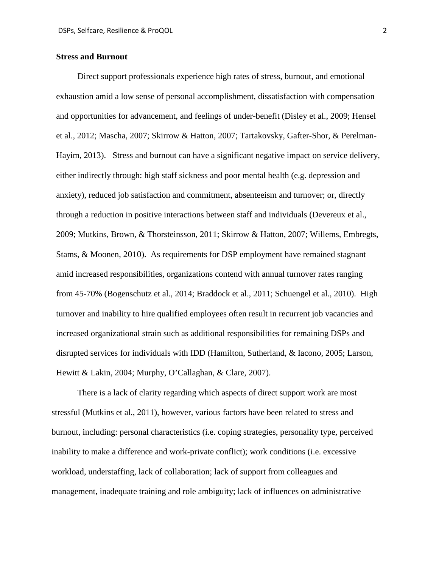### **Stress and Burnout**

Direct support professionals experience high rates of stress, burnout, and emotional exhaustion amid a low sense of personal accomplishment, dissatisfaction with compensation and opportunities for advancement, and feelings of under-benefit (Disley et al., 2009; Hensel et al., 2012; Mascha, 2007; Skirrow & Hatton, 2007; Tartakovsky, Gafter-Shor, & Perelman-Hayim, 2013). Stress and burnout can have a significant negative impact on service delivery, either indirectly through: high staff sickness and poor mental health (e.g. depression and anxiety), reduced job satisfaction and commitment, absenteeism and turnover; or, directly through a reduction in positive interactions between staff and individuals (Devereux et al., 2009; Mutkins, Brown, & Thorsteinsson, 2011; Skirrow & Hatton, 2007; Willems, Embregts, Stams, & Moonen, 2010). As requirements for DSP employment have remained stagnant amid increased responsibilities, organizations contend with annual turnover rates ranging from 45-70% (Bogenschutz et al., 2014; Braddock et al., 2011; Schuengel et al., 2010). High turnover and inability to hire qualified employees often result in recurrent job vacancies and increased organizational strain such as additional responsibilities for remaining DSPs and disrupted services for individuals with IDD (Hamilton, Sutherland, & Iacono, 2005; Larson, Hewitt & Lakin, 2004; Murphy, O'Callaghan, & Clare, 2007).

There is a lack of clarity regarding which aspects of direct support work are most stressful (Mutkins et al., 2011), however, various factors have been related to stress and burnout, including: personal characteristics (i.e. coping strategies, personality type, perceived inability to make a difference and work-private conflict); work conditions (i.e. excessive workload, understaffing, lack of collaboration; lack of support from colleagues and management, inadequate training and role ambiguity; lack of influences on administrative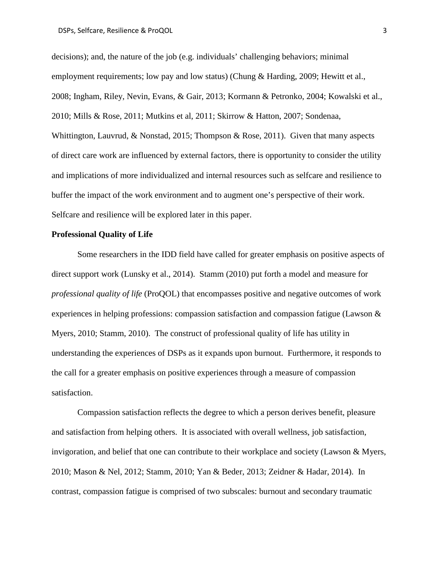decisions); and, the nature of the job (e.g. individuals' challenging behaviors; minimal employment requirements; low pay and low status) (Chung & Harding, 2009; Hewitt et al., 2008; Ingham, Riley, Nevin, Evans, & Gair, 2013; Kormann & Petronko, 2004; Kowalski et al., 2010; Mills & Rose, 2011; Mutkins et al, 2011; Skirrow & Hatton, 2007; Sondenaa, Whittington, Lauvrud, & Nonstad, 2015; Thompson & Rose, 2011). Given that many aspects of direct care work are influenced by external factors, there is opportunity to consider the utility and implications of more individualized and internal resources such as selfcare and resilience to buffer the impact of the work environment and to augment one's perspective of their work. Selfcare and resilience will be explored later in this paper.

### **Professional Quality of Life**

Some researchers in the IDD field have called for greater emphasis on positive aspects of direct support work (Lunsky et al., 2014). Stamm (2010) put forth a model and measure for *professional quality of life* (ProQOL) that encompasses positive and negative outcomes of work experiences in helping professions: compassion satisfaction and compassion fatigue (Lawson & Myers, 2010; Stamm, 2010). The construct of professional quality of life has utility in understanding the experiences of DSPs as it expands upon burnout. Furthermore, it responds to the call for a greater emphasis on positive experiences through a measure of compassion satisfaction.

Compassion satisfaction reflects the degree to which a person derives benefit, pleasure and satisfaction from helping others. It is associated with overall wellness, job satisfaction, invigoration, and belief that one can contribute to their workplace and society (Lawson & Myers, 2010; Mason & Nel, 2012; Stamm, 2010; Yan & Beder, 2013; Zeidner & Hadar, 2014). In contrast, compassion fatigue is comprised of two subscales: burnout and secondary traumatic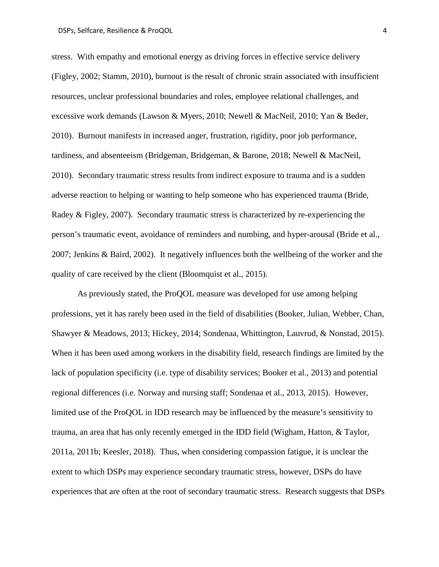stress. With empathy and emotional energy as driving forces in effective service delivery (Figley, 2002; Stamm, 2010), burnout is the result of chronic strain associated with insufficient resources, unclear professional boundaries and roles, employee relational challenges, and excessive work demands (Lawson & Myers, 2010; Newell & MacNeil, 2010; Yan & Beder, 2010). Burnout manifests in increased anger, frustration, rigidity, poor job performance, tardiness, and absenteeism (Bridgeman, Bridgeman, & Barone, 2018; Newell & MacNeil, 2010). Secondary traumatic stress results from indirect exposure to trauma and is a sudden adverse reaction to helping or wanting to help someone who has experienced trauma (Bride, Radey & Figley, 2007). Secondary traumatic stress is characterized by re-experiencing the person's traumatic event, avoidance of reminders and numbing, and hyper-arousal (Bride et al., 2007; Jenkins & Baird, 2002). It negatively influences both the wellbeing of the worker and the quality of care received by the client (Bloomquist et al., 2015).

As previously stated, the ProQOL measure was developed for use among helping professions, yet it has rarely been used in the field of disabilities (Booker, Julian, Webber, Chan, Shawyer & Meadows, 2013; Hickey, 2014; Sondenaa, Whittington, Lauvrud, & Nonstad, 2015). When it has been used among workers in the disability field, research findings are limited by the lack of population specificity (i.e. type of disability services; Booker et al., 2013) and potential regional differences (i.e. Norway and nursing staff; Sondenaa et al., 2013, 2015). However, limited use of the ProQOL in IDD research may be influenced by the measure's sensitivity to trauma, an area that has only recently emerged in the IDD field (Wigham, Hatton, & Taylor, 2011a, 2011b; Keesler, 2018). Thus, when considering compassion fatigue, it is unclear the extent to which DSPs may experience secondary traumatic stress, however, DSPs do have experiences that are often at the root of secondary traumatic stress. Research suggests that DSPs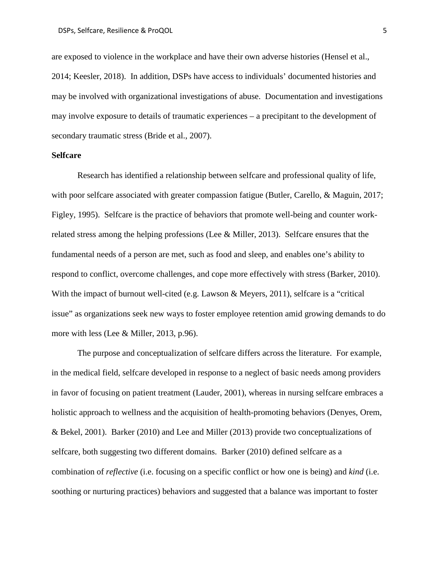are exposed to violence in the workplace and have their own adverse histories (Hensel et al., 2014; Keesler, 2018). In addition, DSPs have access to individuals' documented histories and may be involved with organizational investigations of abuse. Documentation and investigations may involve exposure to details of traumatic experiences – a precipitant to the development of secondary traumatic stress (Bride et al., 2007).

#### **Selfcare**

Research has identified a relationship between selfcare and professional quality of life, with poor selfcare associated with greater compassion fatigue (Butler, Carello, & Maguin, 2017; Figley, 1995). Selfcare is the practice of behaviors that promote well-being and counter workrelated stress among the helping professions (Lee & Miller, 2013). Selfcare ensures that the fundamental needs of a person are met, such as food and sleep, and enables one's ability to respond to conflict, overcome challenges, and cope more effectively with stress (Barker, 2010). With the impact of burnout well-cited (e.g. Lawson & Meyers, 2011), selfcare is a "critical" issue" as organizations seek new ways to foster employee retention amid growing demands to do more with less (Lee & Miller, 2013, p.96).

The purpose and conceptualization of selfcare differs across the literature. For example, in the medical field, selfcare developed in response to a neglect of basic needs among providers in favor of focusing on patient treatment (Lauder, 2001), whereas in nursing selfcare embraces a holistic approach to wellness and the acquisition of health-promoting behaviors (Denyes, Orem, & Bekel, 2001). Barker (2010) and Lee and Miller (2013) provide two conceptualizations of selfcare, both suggesting two different domains. Barker (2010) defined selfcare as a combination of *reflective* (i.e. focusing on a specific conflict or how one is being) and *kind* (i.e. soothing or nurturing practices) behaviors and suggested that a balance was important to foster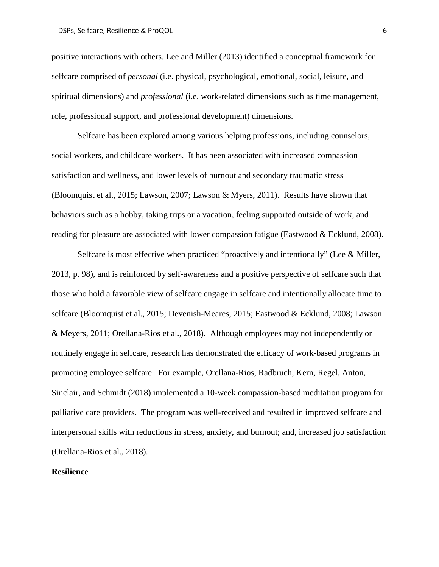positive interactions with others. Lee and Miller (2013) identified a conceptual framework for selfcare comprised of *personal* (i.e. physical, psychological, emotional, social, leisure, and spiritual dimensions) and *professional* (i.e. work-related dimensions such as time management, role, professional support, and professional development) dimensions.

Selfcare has been explored among various helping professions, including counselors, social workers, and childcare workers. It has been associated with increased compassion satisfaction and wellness, and lower levels of burnout and secondary traumatic stress (Bloomquist et al., 2015; Lawson, 2007; Lawson & Myers, 2011). Results have shown that behaviors such as a hobby, taking trips or a vacation, feeling supported outside of work, and reading for pleasure are associated with lower compassion fatigue (Eastwood & Ecklund, 2008).

Selfcare is most effective when practiced "proactively and intentionally" (Lee & Miller, 2013, p. 98), and is reinforced by self-awareness and a positive perspective of selfcare such that those who hold a favorable view of selfcare engage in selfcare and intentionally allocate time to selfcare (Bloomquist et al., 2015; Devenish-Meares, 2015; Eastwood & Ecklund, 2008; Lawson & Meyers, 2011; Orellana-Rios et al., 2018). Although employees may not independently or routinely engage in selfcare, research has demonstrated the efficacy of work-based programs in promoting employee selfcare. For example, Orellana-Rios, Radbruch, Kern, Regel, Anton, Sinclair, and Schmidt (2018) implemented a 10-week compassion-based meditation program for palliative care providers. The program was well-received and resulted in improved selfcare and interpersonal skills with reductions in stress, anxiety, and burnout; and, increased job satisfaction (Orellana-Rios et al., 2018).

### **Resilience**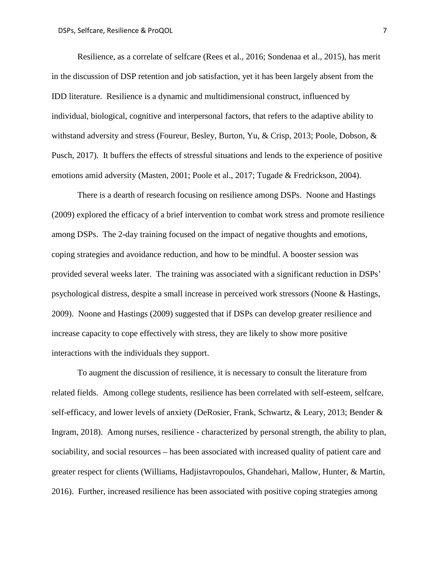Resilience, as a correlate of selfcare (Rees et al., 2016; Sondenaa et al., 2015), has merit in the discussion of DSP retention and job satisfaction, yet it has been largely absent from the IDD literature. Resilience is a dynamic and multidimensional construct, influenced by individual, biological, cognitive and interpersonal factors, that refers to the adaptive ability to withstand adversity and stress (Foureur, Besley, Burton, Yu, & Crisp, 2013; Poole, Dobson, & Pusch, 2017). It buffers the effects of stressful situations and lends to the experience of positive emotions amid adversity (Masten, 2001; Poole et al., 2017; Tugade & Fredrickson, 2004).

There is a dearth of research focusing on resilience among DSPs. Noone and Hastings (2009) explored the efficacy of a brief intervention to combat work stress and promote resilience among DSPs. The 2-day training focused on the impact of negative thoughts and emotions, coping strategies and avoidance reduction, and how to be mindful. A booster session was provided several weeks later. The training was associated with a significant reduction in DSPs' psychological distress, despite a small increase in perceived work stressors (Noone & Hastings, 2009). Noone and Hastings (2009) suggested that if DSPs can develop greater resilience and increase capacity to cope effectively with stress, they are likely to show more positive interactions with the individuals they support.

To augment the discussion of resilience, it is necessary to consult the literature from related fields. Among college students, resilience has been correlated with self-esteem, selfcare, self-efficacy, and lower levels of anxiety (DeRosier, Frank, Schwartz, & Leary, 2013; Bender & Ingram, 2018). Among nurses, resilience - characterized by personal strength, the ability to plan, sociability, and social resources – has been associated with increased quality of patient care and greater respect for clients (Williams, Hadjistavropoulos, Ghandehari, Mallow, Hunter, & Martin, 2016). Further, increased resilience has been associated with positive coping strategies among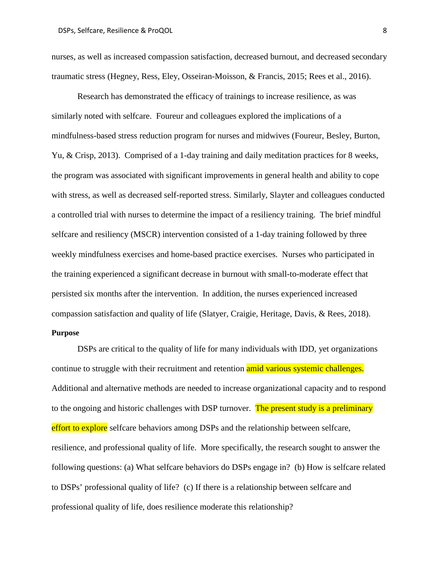nurses, as well as increased compassion satisfaction, decreased burnout, and decreased secondary traumatic stress (Hegney, Ress, Eley, Osseiran-Moisson, & Francis, 2015; Rees et al., 2016).

Research has demonstrated the efficacy of trainings to increase resilience, as was similarly noted with selfcare. Foureur and colleagues explored the implications of a mindfulness-based stress reduction program for nurses and midwives (Foureur, Besley, Burton, Yu, & Crisp, 2013). Comprised of a 1-day training and daily meditation practices for 8 weeks, the program was associated with significant improvements in general health and ability to cope with stress, as well as decreased self-reported stress. Similarly, Slayter and colleagues conducted a controlled trial with nurses to determine the impact of a resiliency training. The brief mindful selfcare and resiliency (MSCR) intervention consisted of a 1-day training followed by three weekly mindfulness exercises and home-based practice exercises. Nurses who participated in the training experienced a significant decrease in burnout with small-to-moderate effect that persisted six months after the intervention. In addition, the nurses experienced increased compassion satisfaction and quality of life (Slatyer, Craigie, Heritage, Davis, & Rees, 2018).

#### **Purpose**

DSPs are critical to the quality of life for many individuals with IDD, yet organizations continue to struggle with their recruitment and retention amid various systemic challenges. Additional and alternative methods are needed to increase organizational capacity and to respond to the ongoing and historic challenges with DSP turnover. The present study is a preliminary effort to explore selfcare behaviors among DSPs and the relationship between selfcare, resilience, and professional quality of life. More specifically, the research sought to answer the following questions: (a) What selfcare behaviors do DSPs engage in? (b) How is selfcare related to DSPs' professional quality of life? (c) If there is a relationship between selfcare and professional quality of life, does resilience moderate this relationship?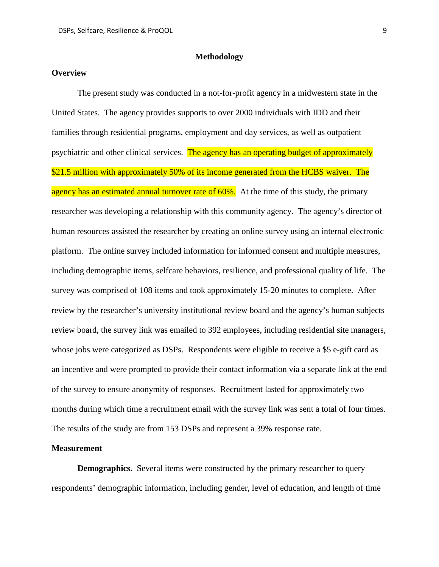### **Methodology**

#### **Overview**

The present study was conducted in a not-for-profit agency in a midwestern state in the United States. The agency provides supports to over 2000 individuals with IDD and their families through residential programs, employment and day services, as well as outpatient psychiatric and other clinical services. The agency has an operating budget of approximately \$21.5 million with approximately 50% of its income generated from the HCBS waiver. The agency has an estimated annual turnover rate of 60%. At the time of this study, the primary researcher was developing a relationship with this community agency. The agency's director of human resources assisted the researcher by creating an online survey using an internal electronic platform. The online survey included information for informed consent and multiple measures, including demographic items, selfcare behaviors, resilience, and professional quality of life. The survey was comprised of 108 items and took approximately 15-20 minutes to complete. After review by the researcher's university institutional review board and the agency's human subjects review board, the survey link was emailed to 392 employees, including residential site managers, whose jobs were categorized as DSPs. Respondents were eligible to receive a \$5 e-gift card as an incentive and were prompted to provide their contact information via a separate link at the end of the survey to ensure anonymity of responses. Recruitment lasted for approximately two months during which time a recruitment email with the survey link was sent a total of four times. The results of the study are from 153 DSPs and represent a 39% response rate.

#### **Measurement**

**Demographics.** Several items were constructed by the primary researcher to query respondents' demographic information, including gender, level of education, and length of time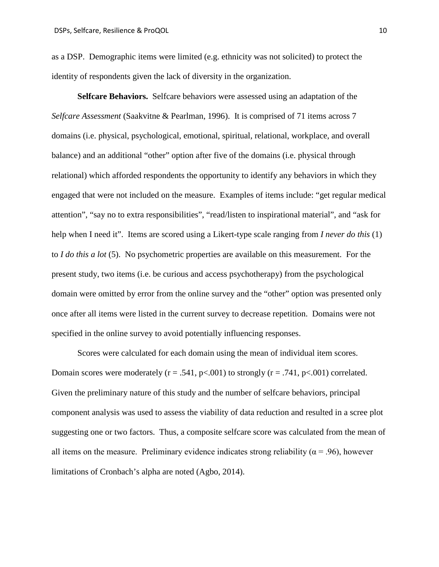as a DSP. Demographic items were limited (e.g. ethnicity was not solicited) to protect the identity of respondents given the lack of diversity in the organization.

**Selfcare Behaviors.** Selfcare behaviors were assessed using an adaptation of the *Selfcare Assessment* (Saakvitne & Pearlman, 1996). It is comprised of 71 items across 7 domains (i.e. physical, psychological, emotional, spiritual, relational, workplace, and overall balance) and an additional "other" option after five of the domains (i.e. physical through relational) which afforded respondents the opportunity to identify any behaviors in which they engaged that were not included on the measure. Examples of items include: "get regular medical attention", "say no to extra responsibilities", "read/listen to inspirational material", and "ask for help when I need it". Items are scored using a Likert-type scale ranging from *I never do this* (1) to *I do this a lot* (5). No psychometric properties are available on this measurement. For the present study, two items (i.e. be curious and access psychotherapy) from the psychological domain were omitted by error from the online survey and the "other" option was presented only once after all items were listed in the current survey to decrease repetition. Domains were not specified in the online survey to avoid potentially influencing responses.

Scores were calculated for each domain using the mean of individual item scores. Domain scores were moderately  $(r = .541, p < .001)$  to strongly  $(r = .741, p < .001)$  correlated. Given the preliminary nature of this study and the number of selfcare behaviors, principal component analysis was used to assess the viability of data reduction and resulted in a scree plot suggesting one or two factors. Thus, a composite selfcare score was calculated from the mean of all items on the measure. Preliminary evidence indicates strong reliability ( $\alpha$  = .96), however limitations of Cronbach's alpha are noted (Agbo, 2014).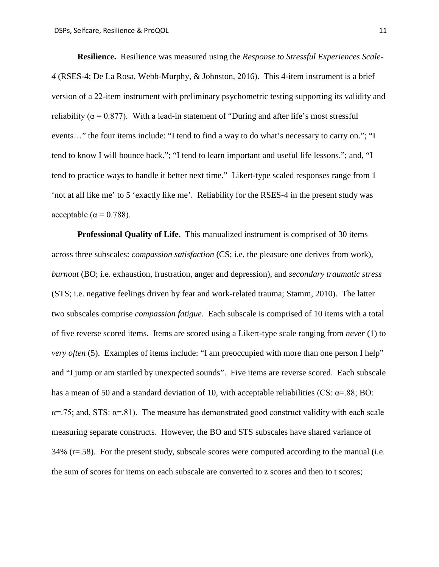**Resilience.** Resilience was measured using the *Response to Stressful Experiences Scale-4* (RSES-4; De La Rosa, Webb-Murphy, & Johnston, 2016). This 4-item instrument is a brief version of a 22-item instrument with preliminary psychometric testing supporting its validity and reliability ( $\alpha$  = 0.877). With a lead-in statement of "During and after life's most stressful events…" the four items include: "I tend to find a way to do what's necessary to carry on."; "I tend to know I will bounce back."; "I tend to learn important and useful life lessons."; and, "I tend to practice ways to handle it better next time." Likert-type scaled responses range from 1 'not at all like me' to 5 'exactly like me'. Reliability for the RSES-4 in the present study was acceptable ( $\alpha$  = 0.788).

**Professional Quality of Life.** This manualized instrument is comprised of 30 items across three subscales: *compassion satisfaction* (CS; i.e. the pleasure one derives from work), *burnout* (BO; i.e. exhaustion, frustration, anger and depression), and *secondary traumatic stress* (STS; i.e. negative feelings driven by fear and work-related trauma; Stamm, 2010). The latter two subscales comprise *compassion fatigue*. Each subscale is comprised of 10 items with a total of five reverse scored items. Items are scored using a Likert-type scale ranging from *never* (1) to *very often* (5). Examples of items include: "I am preoccupied with more than one person I help" and "I jump or am startled by unexpected sounds". Five items are reverse scored. Each subscale has a mean of 50 and a standard deviation of 10, with acceptable reliabilities (CS:  $\alpha$ =.88; BO:  $\alpha$ =.75; and, STS:  $\alpha$ =.81). The measure has demonstrated good construct validity with each scale measuring separate constructs. However, the BO and STS subscales have shared variance of  $34\%$  (r=.58). For the present study, subscale scores were computed according to the manual (i.e. the sum of scores for items on each subscale are converted to z scores and then to t scores;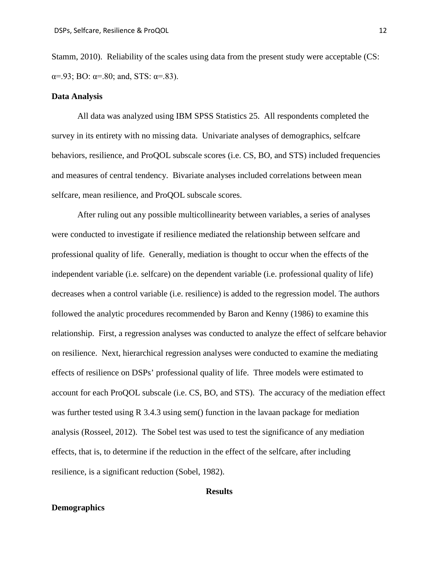Stamm, 2010). Reliability of the scales using data from the present study were acceptable (CS:  $\alpha = .93$ ; BO:  $\alpha = .80$ ; and, STS:  $\alpha = .83$ ).

#### **Data Analysis**

All data was analyzed using IBM SPSS Statistics 25. All respondents completed the survey in its entirety with no missing data. Univariate analyses of demographics, selfcare behaviors, resilience, and ProQOL subscale scores (i.e. CS, BO, and STS) included frequencies and measures of central tendency. Bivariate analyses included correlations between mean selfcare, mean resilience, and ProQOL subscale scores.

After ruling out any possible multicollinearity between variables, a series of analyses were conducted to investigate if resilience mediated the relationship between selfcare and professional quality of life. Generally, mediation is thought to occur when the effects of the independent variable (i.e. selfcare) on the dependent variable (i.e. professional quality of life) decreases when a control variable (i.e. resilience) is added to the regression model. The authors followed the analytic procedures recommended by Baron and Kenny (1986) to examine this relationship. First, a regression analyses was conducted to analyze the effect of selfcare behavior on resilience. Next, hierarchical regression analyses were conducted to examine the mediating effects of resilience on DSPs' professional quality of life. Three models were estimated to account for each ProQOL subscale (i.e. CS, BO, and STS). The accuracy of the mediation effect was further tested using R 3.4.3 using sem() function in the lavaan package for mediation analysis (Rosseel, 2012). The Sobel test was used to test the significance of any mediation effects, that is, to determine if the reduction in the effect of the selfcare, after including resilience, is a significant reduction (Sobel, 1982).

#### **Results**

### **Demographics**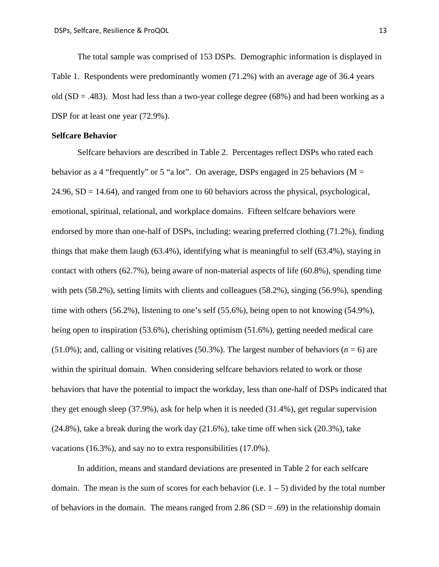The total sample was comprised of 153 DSPs. Demographic information is displayed in Table 1. Respondents were predominantly women (71.2%) with an average age of 36.4 years old (SD = .483). Most had less than a two-year college degree (68%) and had been working as a DSP for at least one year  $(72.9\%)$ .

#### **Selfcare Behavior**

Selfcare behaviors are described in Table 2. Percentages reflect DSPs who rated each behavior as a 4 "frequently" or 5 "a lot". On average, DSPs engaged in 25 behaviors ( $M =$ 24.96, SD = 14.64), and ranged from one to 60 behaviors across the physical, psychological, emotional, spiritual, relational, and workplace domains. Fifteen selfcare behaviors were endorsed by more than one-half of DSPs, including: wearing preferred clothing (71.2%), finding things that make them laugh (63.4%), identifying what is meaningful to self (63.4%), staying in contact with others (62.7%), being aware of non-material aspects of life (60.8%), spending time with pets (58.2%), setting limits with clients and colleagues (58.2%), singing (56.9%), spending time with others (56.2%), listening to one's self (55.6%), being open to not knowing (54.9%), being open to inspiration (53.6%), cherishing optimism (51.6%), getting needed medical care  $(51.0\%)$ ; and, calling or visiting relatives  $(50.3\%)$ . The largest number of behaviors ( $n = 6$ ) are within the spiritual domain. When considering selfcare behaviors related to work or those behaviors that have the potential to impact the workday, less than one-half of DSPs indicated that they get enough sleep (37.9%), ask for help when it is needed (31.4%), get regular supervision  $(24.8\%)$ , take a break during the work day  $(21.6\%)$ , take time off when sick  $(20.3\%)$ , take vacations (16.3%), and say no to extra responsibilities (17.0%).

In addition, means and standard deviations are presented in Table 2 for each selfcare domain. The mean is the sum of scores for each behavior (i.e.  $1 - 5$ ) divided by the total number of behaviors in the domain. The means ranged from  $2.86$  (SD = .69) in the relationship domain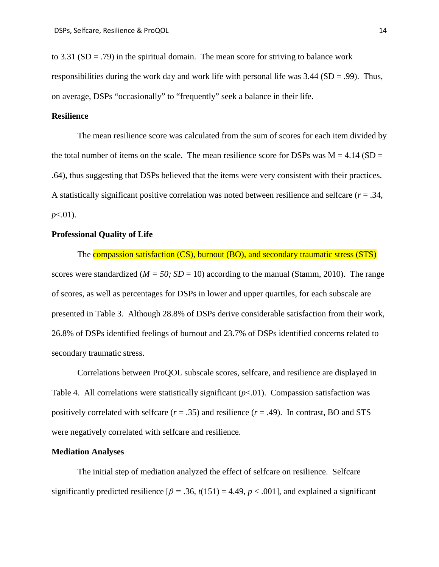to 3.31 ( $SD = .79$ ) in the spiritual domain. The mean score for striving to balance work responsibilities during the work day and work life with personal life was  $3.44$  (SD = .99). Thus, on average, DSPs "occasionally" to "frequently" seek a balance in their life.

### **Resilience**

The mean resilience score was calculated from the sum of scores for each item divided by the total number of items on the scale. The mean resilience score for DSPs was  $M = 4.14$  (SD = .64), thus suggesting that DSPs believed that the items were very consistent with their practices. A statistically significant positive correlation was noted between resilience and selfcare (*r* = .34, *p*<.01).

### **Professional Quality of Life**

The compassion satisfaction (CS), burnout (BO), and secondary traumatic stress (STS) scores were standardized ( $M = 50$ ;  $SD = 10$ ) according to the manual (Stamm, 2010). The range of scores, as well as percentages for DSPs in lower and upper quartiles, for each subscale are presented in Table 3. Although 28.8% of DSPs derive considerable satisfaction from their work, 26.8% of DSPs identified feelings of burnout and 23.7% of DSPs identified concerns related to secondary traumatic stress.

Correlations between ProQOL subscale scores, selfcare, and resilience are displayed in Table 4. All correlations were statistically significant  $(p<0.01)$ . Compassion satisfaction was positively correlated with selfcare  $(r = .35)$  and resilience  $(r = .49)$ . In contrast, BO and STS were negatively correlated with selfcare and resilience.

### **Mediation Analyses**

The initial step of mediation analyzed the effect of selfcare on resilience. Selfcare significantly predicted resilience  $\lceil \beta = .36, t(151) = 4.49, p < .001 \rceil$ , and explained a significant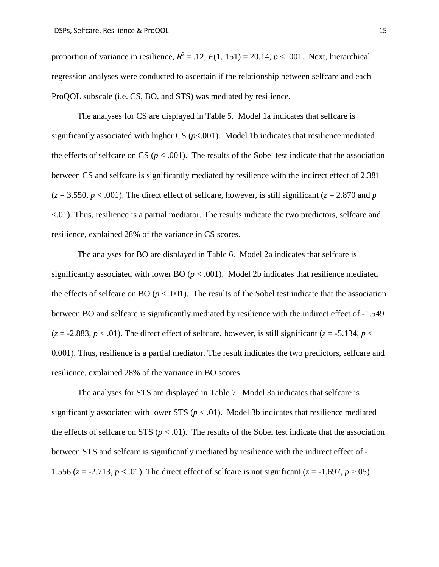proportion of variance in resilience,  $R^2 = .12$ ,  $F(1, 151) = 20.14$ ,  $p < .001$ . Next, hierarchical regression analyses were conducted to ascertain if the relationship between selfcare and each ProQOL subscale (i.e. CS, BO, and STS) was mediated by resilience.

The analyses for CS are displayed in Table 5. Model 1a indicates that selfcare is significantly associated with higher CS  $(p<.001)$ . Model 1b indicates that resilience mediated the effects of selfcare on CS ( $p < .001$ ). The results of the Sobel test indicate that the association between CS and selfcare is significantly mediated by resilience with the indirect effect of 2.381  $(z = 3.550, p < .001)$ . The direct effect of selfcare, however, is still significant  $(z = 2.870$  and *p* <.01). Thus, resilience is a partial mediator. The results indicate the two predictors, selfcare and resilience, explained 28% of the variance in CS scores.

The analyses for BO are displayed in Table 6. Model 2a indicates that selfcare is significantly associated with lower BO  $(p < .001)$ . Model 2b indicates that resilience mediated the effects of selfcare on BO ( $p < .001$ ). The results of the Sobel test indicate that the association between BO and selfcare is significantly mediated by resilience with the indirect effect of -1.549  $(z = -2.883, p < .01)$ . The direct effect of selfcare, however, is still significant  $(z = -5.134, p <$ 0.001). Thus, resilience is a partial mediator. The result indicates the two predictors, selfcare and resilience, explained 28% of the variance in BO scores.

The analyses for STS are displayed in Table 7. Model 3a indicates that selfcare is significantly associated with lower STS ( $p < .01$ ). Model 3b indicates that resilience mediated the effects of selfcare on STS ( $p < .01$ ). The results of the Sobel test indicate that the association between STS and selfcare is significantly mediated by resilience with the indirect effect of - 1.556 ( $z = -2.713$ ,  $p < .01$ ). The direct effect of selfcare is not significant ( $z = -1.697$ ,  $p > .05$ ).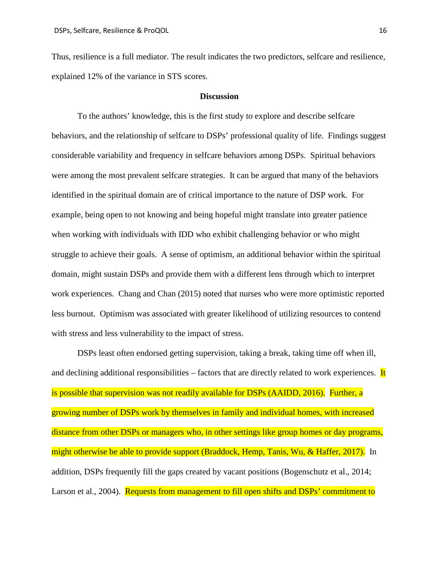Thus, resilience is a full mediator. The result indicates the two predictors, selfcare and resilience, explained 12% of the variance in STS scores.

#### **Discussion**

To the authors' knowledge, this is the first study to explore and describe selfcare behaviors, and the relationship of selfcare to DSPs' professional quality of life. Findings suggest considerable variability and frequency in selfcare behaviors among DSPs. Spiritual behaviors were among the most prevalent selfcare strategies. It can be argued that many of the behaviors identified in the spiritual domain are of critical importance to the nature of DSP work. For example, being open to not knowing and being hopeful might translate into greater patience when working with individuals with IDD who exhibit challenging behavior or who might struggle to achieve their goals. A sense of optimism, an additional behavior within the spiritual domain, might sustain DSPs and provide them with a different lens through which to interpret work experiences. Chang and Chan (2015) noted that nurses who were more optimistic reported less burnout. Optimism was associated with greater likelihood of utilizing resources to contend with stress and less vulnerability to the impact of stress.

DSPs least often endorsed getting supervision, taking a break, taking time off when ill, and declining additional responsibilities – factors that are directly related to work experiences. It is possible that supervision was not readily available for DSPs (AAIDD, 2016). Further, a growing number of DSPs work by themselves in family and individual homes, with increased distance from other DSPs or managers who, in other settings like group homes or day programs, might otherwise be able to provide support (Braddock, Hemp, Tanis, Wu, & Haffer, 2017). In addition, DSPs frequently fill the gaps created by vacant positions (Bogenschutz et al., 2014; Larson et al., 2004). Requests from management to fill open shifts and DSPs' commitment to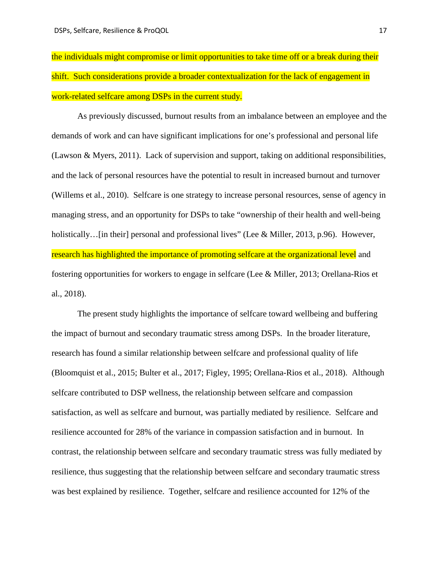the individuals might compromise or limit opportunities to take time off or a break during their shift. Such considerations provide a broader contextualization for the lack of engagement in work-related selfcare among DSPs in the current study.

As previously discussed, burnout results from an imbalance between an employee and the demands of work and can have significant implications for one's professional and personal life (Lawson & Myers, 2011). Lack of supervision and support, taking on additional responsibilities, and the lack of personal resources have the potential to result in increased burnout and turnover (Willems et al., 2010). Selfcare is one strategy to increase personal resources, sense of agency in managing stress, and an opportunity for DSPs to take "ownership of their health and well-being holistically... [in their] personal and professional lives" (Lee & Miller, 2013, p.96). However, research has highlighted the importance of promoting selfcare at the organizational level and fostering opportunities for workers to engage in selfcare (Lee & Miller, 2013; Orellana-Rios et al., 2018).

The present study highlights the importance of selfcare toward wellbeing and buffering the impact of burnout and secondary traumatic stress among DSPs. In the broader literature, research has found a similar relationship between selfcare and professional quality of life (Bloomquist et al., 2015; Bulter et al., 2017; Figley, 1995; Orellana-Rios et al., 2018). Although selfcare contributed to DSP wellness, the relationship between selfcare and compassion satisfaction, as well as selfcare and burnout, was partially mediated by resilience. Selfcare and resilience accounted for 28% of the variance in compassion satisfaction and in burnout. In contrast, the relationship between selfcare and secondary traumatic stress was fully mediated by resilience, thus suggesting that the relationship between selfcare and secondary traumatic stress was best explained by resilience. Together, selfcare and resilience accounted for 12% of the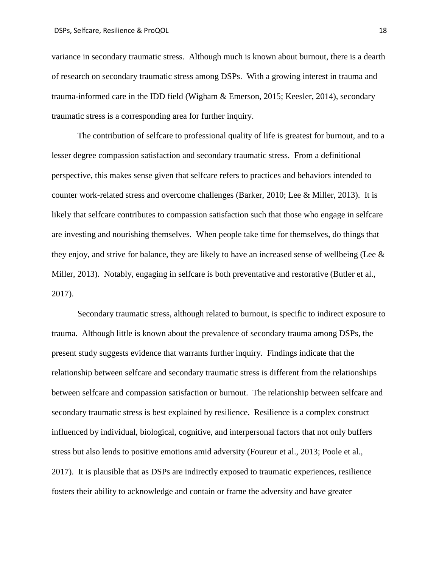variance in secondary traumatic stress. Although much is known about burnout, there is a dearth of research on secondary traumatic stress among DSPs. With a growing interest in trauma and trauma-informed care in the IDD field (Wigham & Emerson, 2015; Keesler, 2014), secondary traumatic stress is a corresponding area for further inquiry.

The contribution of selfcare to professional quality of life is greatest for burnout, and to a lesser degree compassion satisfaction and secondary traumatic stress. From a definitional perspective, this makes sense given that selfcare refers to practices and behaviors intended to counter work-related stress and overcome challenges (Barker, 2010; Lee & Miller, 2013). It is likely that selfcare contributes to compassion satisfaction such that those who engage in selfcare are investing and nourishing themselves. When people take time for themselves, do things that they enjoy, and strive for balance, they are likely to have an increased sense of wellbeing (Lee  $\&$ Miller, 2013). Notably, engaging in selfcare is both preventative and restorative (Butler et al., 2017).

Secondary traumatic stress, although related to burnout, is specific to indirect exposure to trauma. Although little is known about the prevalence of secondary trauma among DSPs, the present study suggests evidence that warrants further inquiry. Findings indicate that the relationship between selfcare and secondary traumatic stress is different from the relationships between selfcare and compassion satisfaction or burnout. The relationship between selfcare and secondary traumatic stress is best explained by resilience. Resilience is a complex construct influenced by individual, biological, cognitive, and interpersonal factors that not only buffers stress but also lends to positive emotions amid adversity (Foureur et al., 2013; Poole et al., 2017). It is plausible that as DSPs are indirectly exposed to traumatic experiences, resilience fosters their ability to acknowledge and contain or frame the adversity and have greater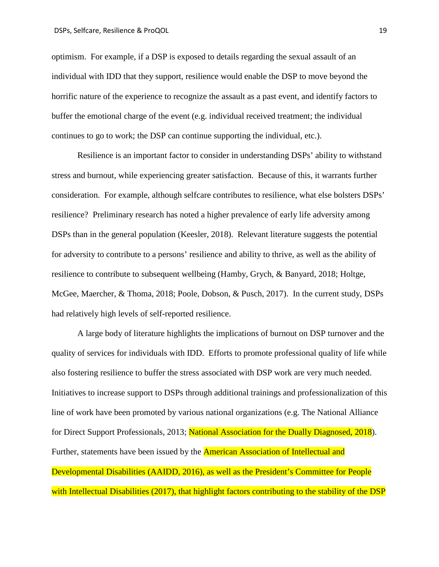optimism. For example, if a DSP is exposed to details regarding the sexual assault of an individual with IDD that they support, resilience would enable the DSP to move beyond the horrific nature of the experience to recognize the assault as a past event, and identify factors to buffer the emotional charge of the event (e.g. individual received treatment; the individual continues to go to work; the DSP can continue supporting the individual, etc.).

Resilience is an important factor to consider in understanding DSPs' ability to withstand stress and burnout, while experiencing greater satisfaction. Because of this, it warrants further consideration. For example, although selfcare contributes to resilience, what else bolsters DSPs' resilience? Preliminary research has noted a higher prevalence of early life adversity among DSPs than in the general population (Keesler, 2018). Relevant literature suggests the potential for adversity to contribute to a persons' resilience and ability to thrive, as well as the ability of resilience to contribute to subsequent wellbeing (Hamby, Grych, & Banyard, 2018; Holtge, McGee, Maercher, & Thoma, 2018; Poole, Dobson, & Pusch, 2017). In the current study, DSPs had relatively high levels of self-reported resilience.

A large body of literature highlights the implications of burnout on DSP turnover and the quality of services for individuals with IDD. Efforts to promote professional quality of life while also fostering resilience to buffer the stress associated with DSP work are very much needed. Initiatives to increase support to DSPs through additional trainings and professionalization of this line of work have been promoted by various national organizations (e.g. The National Alliance for Direct Support Professionals, 2013; National Association for the Dually Diagnosed, 2018). Further, statements have been issued by the **American Association of Intellectual and** Developmental Disabilities (AAIDD, 2016), as well as the President's Committee for People with Intellectual Disabilities (2017), that highlight factors contributing to the stability of the DSP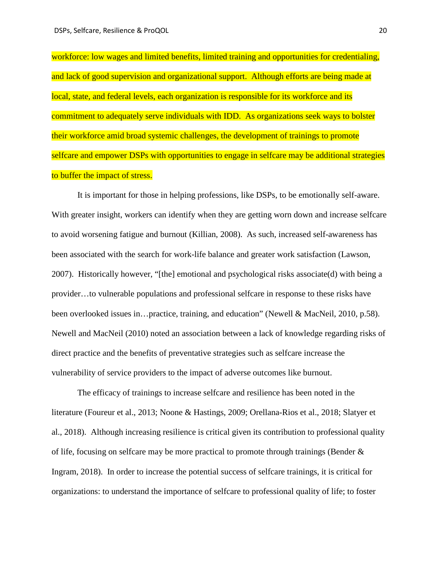workforce: low wages and limited benefits, limited training and opportunities for credentialing, and lack of good supervision and organizational support. Although efforts are being made at local, state, and federal levels, each organization is responsible for its workforce and its commitment to adequately serve individuals with IDD. As organizations seek ways to bolster their workforce amid broad systemic challenges, the development of trainings to promote selfcare and empower DSPs with opportunities to engage in selfcare may be additional strategies to buffer the impact of stress.

It is important for those in helping professions, like DSPs, to be emotionally self-aware. With greater insight, workers can identify when they are getting worn down and increase selfcare to avoid worsening fatigue and burnout (Killian, 2008). As such, increased self-awareness has been associated with the search for work-life balance and greater work satisfaction (Lawson, 2007). Historically however, "[the] emotional and psychological risks associate(d) with being a provider…to vulnerable populations and professional selfcare in response to these risks have been overlooked issues in…practice, training, and education" (Newell & MacNeil, 2010, p.58). Newell and MacNeil (2010) noted an association between a lack of knowledge regarding risks of direct practice and the benefits of preventative strategies such as selfcare increase the vulnerability of service providers to the impact of adverse outcomes like burnout.

The efficacy of trainings to increase selfcare and resilience has been noted in the literature (Foureur et al., 2013; Noone & Hastings, 2009; Orellana-Rios et al., 2018; Slatyer et al., 2018). Although increasing resilience is critical given its contribution to professional quality of life, focusing on selfcare may be more practical to promote through trainings (Bender & Ingram, 2018). In order to increase the potential success of selfcare trainings, it is critical for organizations: to understand the importance of selfcare to professional quality of life; to foster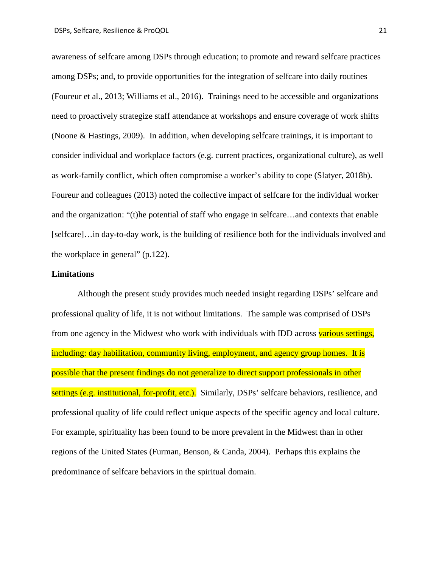awareness of selfcare among DSPs through education; to promote and reward selfcare practices among DSPs; and, to provide opportunities for the integration of selfcare into daily routines (Foureur et al., 2013; Williams et al., 2016). Trainings need to be accessible and organizations need to proactively strategize staff attendance at workshops and ensure coverage of work shifts (Noone & Hastings, 2009). In addition, when developing selfcare trainings, it is important to consider individual and workplace factors (e.g. current practices, organizational culture), as well as work-family conflict, which often compromise a worker's ability to cope (Slatyer, 2018b). Foureur and colleagues (2013) noted the collective impact of selfcare for the individual worker and the organization: "(t)he potential of staff who engage in selfcare…and contexts that enable [selfcare]…in day-to-day work, is the building of resilience both for the individuals involved and the workplace in general" (p.122).

#### **Limitations**

Although the present study provides much needed insight regarding DSPs' selfcare and professional quality of life, it is not without limitations. The sample was comprised of DSPs from one agency in the Midwest who work with individuals with IDD across various settings, including: day habilitation, community living, employment, and agency group homes. It is possible that the present findings do not generalize to direct support professionals in other settings (e.g. institutional, for-profit, etc.). Similarly, DSPs' selfcare behaviors, resilience, and professional quality of life could reflect unique aspects of the specific agency and local culture. For example, spirituality has been found to be more prevalent in the Midwest than in other regions of the United States (Furman, Benson, & Canda, 2004). Perhaps this explains the predominance of selfcare behaviors in the spiritual domain.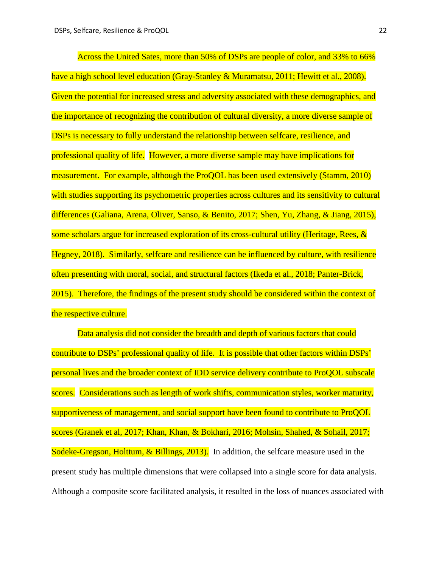Across the United Sates, more than 50% of DSPs are people of color, and 33% to 66% have a high school level education (Gray-Stanley & Muramatsu, 2011; Hewitt et al., 2008). Given the potential for increased stress and adversity associated with these demographics, and the importance of recognizing the contribution of cultural diversity, a more diverse sample of DSPs is necessary to fully understand the relationship between selfcare, resilience, and professional quality of life. However, a more diverse sample may have implications for measurement. For example, although the ProQOL has been used extensively (Stamm, 2010) with studies supporting its psychometric properties across cultures and its sensitivity to cultural differences (Galiana, Arena, Oliver, Sanso, & Benito, 2017; Shen, Yu, Zhang, & Jiang, 2015), some scholars argue for increased exploration of its cross-cultural utility (Heritage, Rees,  $\&$ Hegney, 2018). Similarly, selfcare and resilience can be influenced by culture, with resilience often presenting with moral, social, and structural factors (Ikeda et al., 2018; Panter-Brick, 2015). Therefore, the findings of the present study should be considered within the context of the respective culture.

Data analysis did not consider the breadth and depth of various factors that could contribute to DSPs' professional quality of life. It is possible that other factors within DSPs' personal lives and the broader context of IDD service delivery contribute to ProQOL subscale scores. Considerations such as length of work shifts, communication styles, worker maturity, supportiveness of management, and social support have been found to contribute to ProQOL scores (Granek et al, 2017; Khan, Khan, & Bokhari, 2016; Mohsin, Shahed, & Sohail, 2017; Sodeke-Gregson, Holttum, & Billings, 2013). In addition, the selfcare measure used in the present study has multiple dimensions that were collapsed into a single score for data analysis. Although a composite score facilitated analysis, it resulted in the loss of nuances associated with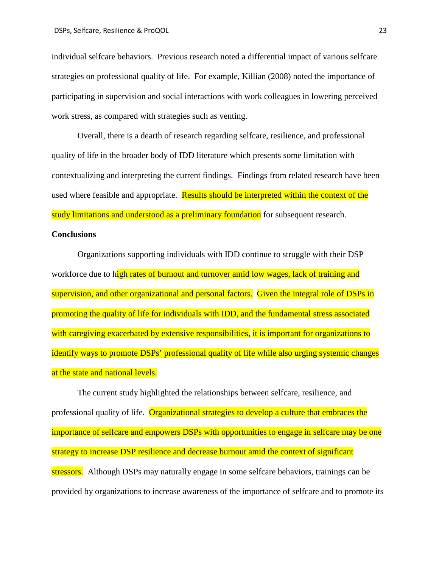individual selfcare behaviors. Previous research noted a differential impact of various selfcare strategies on professional quality of life. For example, Killian (2008) noted the importance of participating in supervision and social interactions with work colleagues in lowering perceived work stress, as compared with strategies such as venting.

Overall, there is a dearth of research regarding selfcare, resilience, and professional quality of life in the broader body of IDD literature which presents some limitation with contextualizing and interpreting the current findings. Findings from related research have been used where feasible and appropriate. Results should be interpreted within the context of the study limitations and understood as a preliminary foundation for subsequent research.

#### **Conclusions**

Organizations supporting individuals with IDD continue to struggle with their DSP workforce due to high rates of burnout and turnover amid low wages, lack of training and supervision, and other organizational and personal factors. Given the integral role of DSPs in promoting the quality of life for individuals with IDD, and the fundamental stress associated with caregiving exacerbated by extensive responsibilities, it is important for organizations to identify ways to promote DSPs' professional quality of life while also urging systemic changes at the state and national levels.

The current study highlighted the relationships between selfcare, resilience, and professional quality of life. Organizational strategies to develop a culture that embraces the importance of selfcare and empowers DSPs with opportunities to engage in selfcare may be one strategy to increase DSP resilience and decrease burnout amid the context of significant stressors. Although DSPs may naturally engage in some selfcare behaviors, trainings can be provided by organizations to increase awareness of the importance of selfcare and to promote its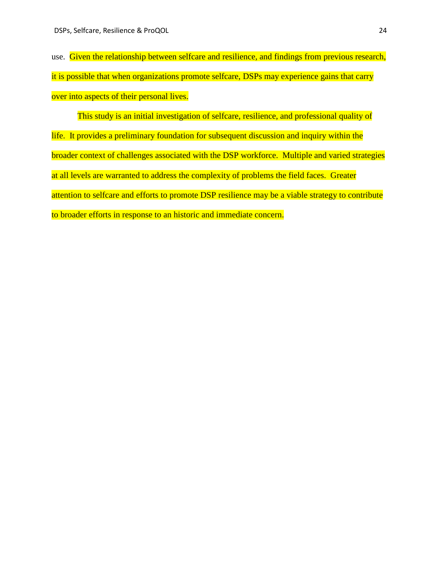use. Given the relationship between selfcare and resilience, and findings from previous research, it is possible that when organizations promote selfcare, DSPs may experience gains that carry over into aspects of their personal lives.

This study is an initial investigation of selfcare, resilience, and professional quality of life. It provides a preliminary foundation for subsequent discussion and inquiry within the broader context of challenges associated with the DSP workforce. Multiple and varied strategies at all levels are warranted to address the complexity of problems the field faces. Greater attention to selfcare and efforts to promote DSP resilience may be a viable strategy to contribute to broader efforts in response to an historic and immediate concern.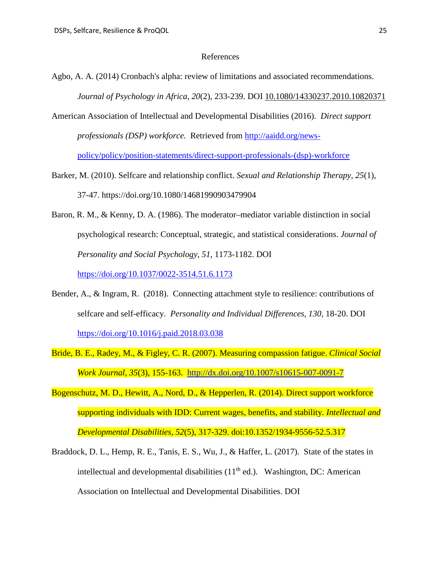#### References

- Agbo, A. A. (2014) Cronbach's alpha: review of limitations and associated recommendations. *Journal of Psychology in Africa, 20*(2), 233-239. DOI [10.1080/14330237.2010.10820371](https://doi.org/10.1080/14330237.2010.10820371)
- American Association of Intellectual and Developmental Disabilities (2016). *Direct support professionals (DSP) workforce.* Retrieved from [http://aaidd.org/news](http://aaidd.org/news-policy/policy/position-statements/direct-support-professionals-(dsp)-workforce)[policy/policy/position-statements/direct-support-professionals-\(dsp\)-workforce](http://aaidd.org/news-policy/policy/position-statements/direct-support-professionals-(dsp)-workforce)
- Barker, M. (2010). Selfcare and relationship conflict. *Sexual and Relationship Therapy, 25*(1), 37-47.<https://doi.org/10.1080/14681990903479904>
- Baron, R. M., & Kenny, D. A. (1986). The moderator–mediator variable distinction in social psychological research: Conceptual, strategic, and statistical considerations. *Journal of Personality and Social Psychology, 51*, 1173-1182. DOI

<https://doi.org/10.1037/0022-3514.51.6.1173>

- Bender, A., & Ingram, R. (2018). Connecting attachment style to resilience: contributions of selfcare and self-efficacy. *Personality and Individual Differences, 130*, 18-20. DOI <https://doi.org/10.1016/j.paid.2018.03.038>
- Bride, B. E., Radey, M., & Figley, C. R. (2007). Measuring compassion fatigue. *Clinical Social Work Journal, 35*(3), 155-163. [http://dx.doi.org/10.1007/s10615-007-0091-7](https://psycnet.apa.org/doi/10.1007/s10615-007-0091-7)
- Bogenschutz, M. D., Hewitt, A., Nord, D., & Hepperlen, R. (2014). Direct support workforce supporting individuals with IDD: Current wages, benefits, and stability. *Intellectual and Developmental Disabilities, 52*(5), 317-329. doi:10.1352/1934-9556-52.5.317
- Braddock, D. L., Hemp, R. E., Tanis, E. S., Wu, J., & Haffer, L. (2017). State of the states in intellectual and developmental disabilities  $(11<sup>th</sup>$  ed.). Washington, DC: American Association on Intellectual and Developmental Disabilities. DOI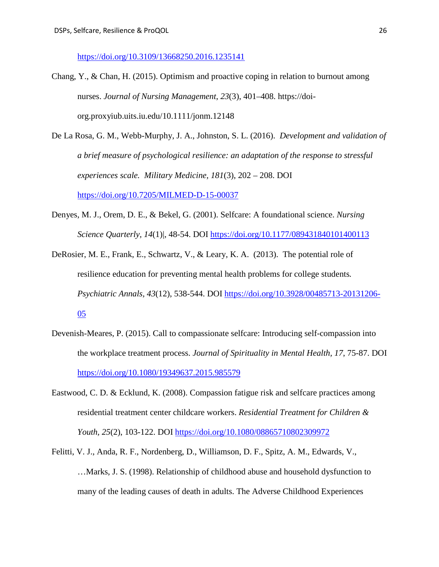<https://doi.org/10.3109/13668250.2016.1235141>

- Chang, Y., & Chan, H. (2015). Optimism and proactive coping in relation to burnout among nurses. *Journal of Nursing Management*, *23*(3), 401–408. https://doiorg.proxyiub.uits.iu.edu/10.1111/jonm.12148
- De La Rosa, G. M., Webb-Murphy, J. A., Johnston, S. L. (2016). *Development and validation of a brief measure of psychological resilience: an adaptation of the response to stressful experiences scale. Military Medicine, 181*(3), 202 – 208. DOI <https://doi.org/10.7205/MILMED-D-15-00037>
- Denyes, M. J., Orem, D. E., & Bekel, G. (2001). Selfcare: A foundational science. *Nursing Science Quarterly, 14*(1)|, 48-54. DOI <https://doi.org/10.1177/089431840101400113>
- DeRosier, M. E., Frank, E., Schwartz, V., & Leary, K. A. (2013). The potential role of resilience education for preventing mental health problems for college students*. Psychiatric Annals, 43*(12), 538-544. DOI [https://doi.org/10.3928/00485713-20131206-](https://doi.org/10.3928/00485713-20131206-05) [05](https://doi.org/10.3928/00485713-20131206-05)
- Devenish-Meares, P. (2015). Call to compassionate selfcare: Introducing self-compassion into the workplace treatment process. *Journal of Spirituality in Mental Health, 17*, 75-87. DOI <https://doi.org/10.1080/19349637.2015.985579>
- Eastwood, C. D. & Ecklund, K. (2008). Compassion fatigue risk and selfcare practices among residential treatment center childcare workers. *Residential Treatment for Children & Youth, 25*(2), 103-122. DOI <https://doi.org/10.1080/08865710802309972>
- Felitti, V. J., Anda, R. F., Nordenberg, D., Williamson, D. F., Spitz, A. M., Edwards, V., …Marks, J. S. (1998). Relationship of childhood abuse and household dysfunction to many of the leading causes of death in adults. The Adverse Childhood Experiences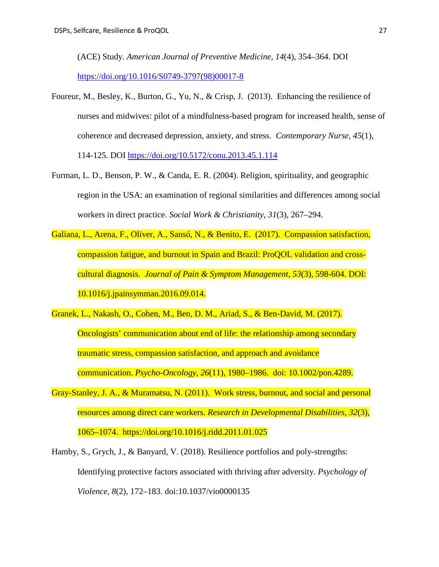(ACE) Study. *American Journal of Preventive Medicine, 14*(4), 354–364. DOI [https://doi.org/10.1016/S0749-3797\(98\)00017-8](https://doi.org/10.1016/S0749-3797(98)00017-8)

- Foureur, M., Besley, K., Burton, G., Yu, N., & Crisp, J. (2013). Enhancing the resilience of nurses and midwives: pilot of a mindfulness-based program for increased health, sense of coherence and decreased depression, anxiety, and stress. *Contemporary Nurse, 45*(1), 114-125. DOI<https://doi.org/10.5172/conu.2013.45.1.114>
- Furman, L. D., Benson, P. W., & Canda, E. R. (2004). Religion, spirituality, and geographic region in the USA: an examination of regional similarities and differences among social workers in direct practice. *Social Work & Christianity*, *31*(3), 267–294.
- Galiana, L., Arena, F., Oliver, A., Sansó, N., & Benito, E. (2017). Compassion satisfaction, compassion fatigue, and burnout in Spain and Brazil: ProQOL validation and crosscultural diagnosis. *Journal of Pain & Symptom Management, 53*(3), 598-604. DOI: 10.1016/j.jpainsymman.2016.09.014.
- Granek, L., Nakash, O., Cohen, M., Ben, D. M., Ariad, S., & Ben-David, M. (2017). Oncologists' communication about end of life: the relationship among secondary traumatic stress, compassion satisfaction, and approach and avoidance communication. *Psycho-Oncology*, *26*(11), 1980–1986. doi: 10.1002/pon.4289.
- Gray-Stanley, J. A., & Muramatsu, N. (2011). Work stress, burnout, and social and personal resources among direct care workers. *Research in Developmental Disabilities, 32*(3), 1065–1074. https://doi.org/10.1016/j.ridd.2011.01.025
- Hamby, S., Grych, J., & Banyard, V. (2018). Resilience portfolios and poly-strengths: Identifying protective factors associated with thriving after adversity. *Psychology of Violence*, *8*(2), 172–183. doi:10.1037/vio0000135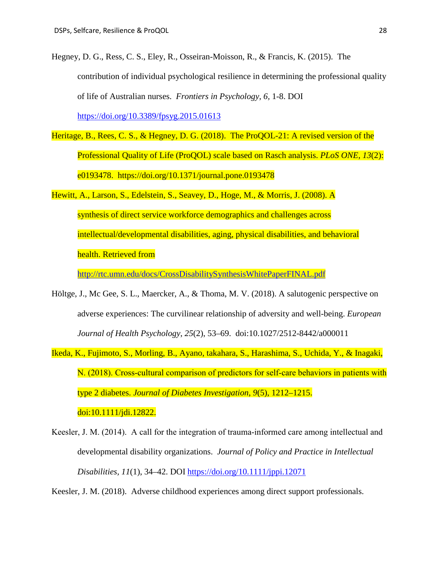Hegney, D. G., Ress, C. S., Eley, R., Osseiran-Moisson, R., & Francis, K. (2015). The contribution of individual psychological resilience in determining the professional quality of life of Australian nurses. *Frontiers in Psychology, 6,* 1-8. DOI

<https://doi.org/10.3389/fpsyg.2015.01613>

- Heritage, B., Rees, C. S., & Hegney, D. G. (2018). The ProQOL-21: A revised version of the Professional Quality of Life (ProQOL) scale based on Rasch analysis. *PLoS ONE, 13*(2): e0193478. https://doi.org/10.1371/journal.pone.0193478
- Hewitt, A., Larson, S., Edelstein, S., Seavey, D., Hoge, M., & Morris, J. (2008). A synthesis of direct service workforce demographics and challenges across intellectual/developmental disabilities, aging, physical disabilities, and behavioral health. Retrieved from

<http://rtc.umn.edu/docs/CrossDisabilitySynthesisWhitePaperFINAL.pdf>

- Höltge, J., Mc Gee, S. L., Maercker, A., & Thoma, M. V. (2018). A salutogenic perspective on adverse experiences: The curvilinear relationship of adversity and well-being. *European Journal of Health Psychology*, *25*(2), 53–69. doi:10.1027/2512-8442/a000011
- Ikeda, K., Fujimoto, S., Morling, B., Ayano, takahara, S., Harashima, S., Uchida, Y., & Inagaki, N. (2018). Cross-cultural comparison of predictors for self-care behaviors in patients with type 2 diabetes. *Journal of Diabetes Investigation*, *9*(5), 1212–1215. doi:10.1111/jdi.12822.
- Keesler, J. M. (2014). A call for the integration of trauma-informed care among intellectual and developmental disability organizations. *Journal of Policy and Practice in Intellectual Disabilities, 11*(1), 34–42. DOI <https://doi.org/10.1111/jppi.12071>

Keesler, J. M. (2018). Adverse childhood experiences among direct support professionals.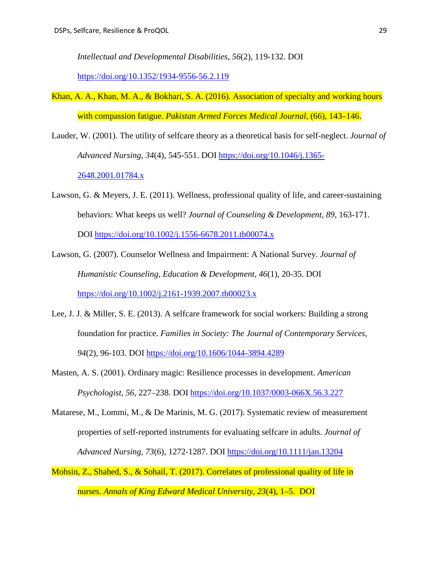*Intellectual and Developmental Disabilities, 56*(2), 119-132. DOI

<https://doi.org/10.1352/1934-9556-56.2.119>

- Khan, A. A., Khan, M. A., & Bokhari, S. A. (2016). Association of specialty and working hours with compassion fatigue. *Pakistan Armed Forces Medical Journal*, (66), 143–146.
- Lauder, W. (2001). The utility of selfcare theory as a theoretical basis for self-neglect. *Journal of Advanced Nursing, 34*(4), 545-551. DOI [https://doi.org/10.1046/j.1365-](https://doi.org/10.1046/j.1365-2648.2001.01784.x) [2648.2001.01784.x](https://doi.org/10.1046/j.1365-2648.2001.01784.x)
- Lawson, G. & Meyers, J. E. (2011). Wellness, professional quality of life, and career-sustaining behaviors: What keeps us well? *Journal of Counseling & Development, 89*, 163-171. DOI <https://doi.org/10.1002/j.1556-6678.2011.tb00074.x>
- Lawson, G. (2007). Counselor Wellness and Impairment: A National Survey. *Journal of Humanistic Counseling, Education & Development*, *46*(1), 20-35. DOI <https://doi.org/10.1002/j.2161-1939.2007.tb00023.x>
- Lee, J. J. & Miller, S. E. (2013). A selfcare framework for social workers: Building a strong foundation for practice. *Families in Society: The Journal of Contemporary Services, 94*(2), 96-103. DOI <https://doi.org/10.1606/1044-3894.4289>
- Masten, A. S. (2001). Ordinary magic: Resilience processes in development. *American Psychologist, 56*, 227–238. DOI <https://doi.org/10.1037/0003-066X.56.3.227>
- Matarese, M., Lommi, M., & De Marinis, M. G. (2017). Systematic review of measurement properties of self-reported instruments for evaluating selfcare in adults. *Journal of Advanced Nursing, 73*(6), 1272-1287. DOI<https://doi.org/10.1111/jan.13204>
- Mohsin, Z., Shahed, S., & Sohail, T. (2017). Correlates of professional quality of life in nurses. *Annals of King Edward Medical University*, *23*(4), 1–5. DOI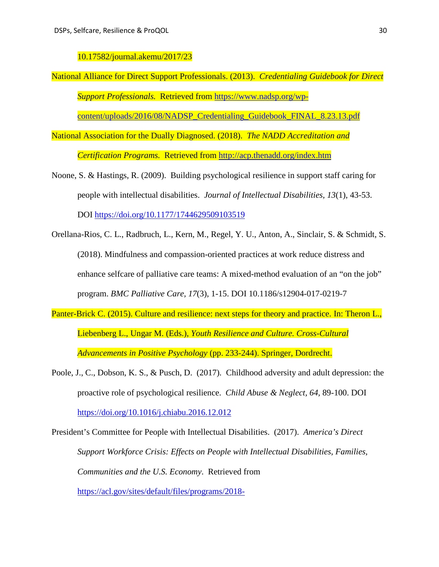10.17582/journal.akemu/2017/23

National Alliance for Direct Support Professionals. (2013). *Credentialing Guidebook for Direct Support Professionals.* Retrieved from [https://www.nadsp.org/wp-](https://www.nadsp.org/wp-content/uploads/2016/08/NADSP_Credentialing_Guidebook_FINAL_8.23.13.pdf)

[content/uploads/2016/08/NADSP\\_Credentialing\\_Guidebook\\_FINAL\\_8.23.13.pdf](https://www.nadsp.org/wp-content/uploads/2016/08/NADSP_Credentialing_Guidebook_FINAL_8.23.13.pdf)

National Association for the Dually Diagnosed. (2018). *The NADD Accreditation and* 

*Certification Programs.* Retrieved from<http://acp.thenadd.org/index.htm>

- Noone, S. & Hastings, R. (2009). Building psychological resilience in support staff caring for people with intellectual disabilities. *Journal of Intellectual Disabilities, 13*(1), 43-53. DOI<https://doi.org/10.1177/1744629509103519>
- Orellana-Rios, C. L., Radbruch, L., Kern, M., Regel, Y. U., Anton, A., Sinclair, S. & Schmidt, S. (2018). Mindfulness and compassion-oriented practices at work reduce distress and enhance selfcare of palliative care teams: A mixed-method evaluation of an "on the job" program. *BMC Palliative Care, 17*(3), 1-15. DOI 10.1186/s12904-017-0219-7
- Panter-Brick C. (2015). Culture and resilience: next steps for theory and practice. In: Theron L., Liebenberg L., Ungar M. (Eds.), *Youth Resilience and Culture. Cross-Cultural Advancements in Positive Psychology* (pp. 233-244). Springer, Dordrecht.
- Poole, J., C., Dobson, K. S., & Pusch, D. (2017). Childhood adversity and adult depression: the proactive role of psychological resilience. *Child Abuse & Neglect, 64,* 89-100. DOI <https://doi.org/10.1016/j.chiabu.2016.12.012>

President's Committee for People with Intellectual Disabilities. (2017). *America's Direct Support Workforce Crisis: Effects on People with Intellectual Disabilities, Families, Communities and the U.S. Economy*. Retrieved from [https://acl.gov/sites/default/files/programs/2018-](https://acl.gov/sites/default/files/programs/2018-02/2017%20PCPID%20Short%20Report.pdf)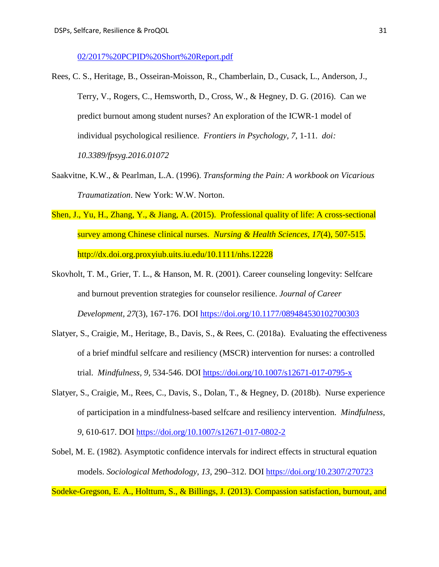[02/2017%20PCPID%20Short%20Report.pdf](https://acl.gov/sites/default/files/programs/2018-02/2017%20PCPID%20Short%20Report.pdf)

- Rees, C. S., Heritage, B., Osseiran-Moisson, R., Chamberlain, D., Cusack, L., Anderson, J., Terry, V., Rogers, C., Hemsworth, D., Cross, W., & Hegney, D. G. (2016). Can we predict burnout among student nurses? An exploration of the ICWR-1 model of individual psychological resilience. *Frontiers in Psychology, 7*, 1-11. *doi: 10.3389/fpsyg.2016.01072*
- Saakvitne, K.W., & Pearlman, L.A. (1996). *Transforming the Pain: A workbook on Vicarious Traumatization*. New York: W.W. Norton.
- Shen, J., Yu, H., Zhang, Y., & Jiang, A. (2015). Professional quality of life: A cross-sectional survey among Chinese clinical nurses. *Nursing & Health Sciences, 17*(4), 507-515. http://dx.doi.org.proxyiub.uits.iu.edu/10.1111/nhs.12228
- Skovholt, T. M., Grier, T. L., & Hanson, M. R. (2001). Career counseling longevity: Selfcare and burnout prevention strategies for counselor resilience. *Journal of Career Development, 27*(3), 167-176. DOI<https://doi.org/10.1177/089484530102700303>
- Slatyer, S., Craigie, M., Heritage, B., Davis, S., & Rees, C. (2018a). Evaluating the effectiveness of a brief mindful selfcare and resiliency (MSCR) intervention for nurses: a controlled trial. *Mindfulness, 9,* 534-546. DOI<https://doi.org/10.1007/s12671-017-0795-x>
- Slatyer, S., Craigie, M., Rees, C., Davis, S., Dolan, T., & Hegney, D. (2018b). Nurse experience of participation in a mindfulness-based selfcare and resiliency intervention. *Mindfulness, 9*, 610-617. DOI<https://doi.org/10.1007/s12671-017-0802-2>
- Sobel, M. E. (1982). Asymptotic confidence intervals for indirect effects in structural equation models. *Sociological Methodology, 13,* 290–312. DOI<https://doi.org/10.2307/270723>

Sodeke-Gregson, E. A., Holttum, S., & Billings, J. (2013). Compassion satisfaction, burnout, and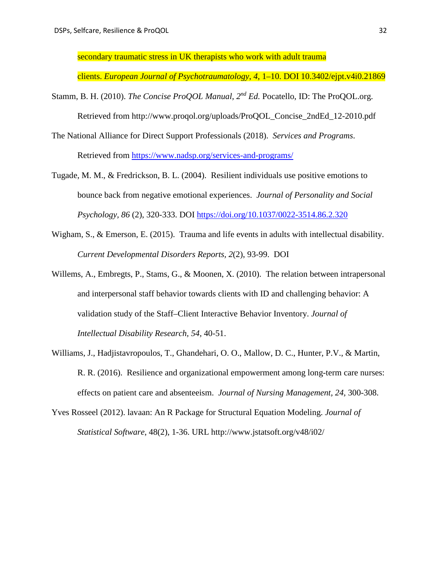secondary traumatic stress in UK therapists who work with adult trauma

clients. *European Journal of Psychotraumatology*, *4*, 1–10. DOI 10.3402/ejpt.v4i0.21869

- Stamm, B. H. (2010). *The Concise ProOOL Manual*,  $2^{nd} Ed$ . Pocatello, ID: The ProOOL.org. Retrieved from http://www.proqol.org/uploads/ProQOL\_Concise\_2ndEd\_12-2010.pdf
- The National Alliance for Direct Support Professionals (2018). *Services and Programs*. Retrieved from<https://www.nadsp.org/services-and-programs/>
- Tugade, M. M., & Fredrickson, B. L. (2004). Resilient individuals use positive emotions to bounce back from negative emotional experiences. *Journal of Personality and Social Psychology, 86* (2), 320-333. DOI<https://doi.org/10.1037/0022-3514.86.2.320>
- Wigham, S., & Emerson, E. (2015). Trauma and life events in adults with intellectual disability. *Current Developmental Disorders Reports, 2*(2), 93-99. DOI
- Willems, A., Embregts, P., Stams, G., & Moonen, X. (2010). The relation between intrapersonal and interpersonal staff behavior towards clients with ID and challenging behavior: A validation study of the Staff–Client Interactive Behavior Inventory. *Journal of Intellectual Disability Research, 54,* 40-51.
- Williams, J., Hadjistavropoulos, T., Ghandehari, O. O., Mallow, D. C., Hunter, P.V., & Martin, R. R. (2016). Resilience and organizational empowerment among long-term care nurses: effects on patient care and absenteeism. *Journal of Nursing Management, 24,* 300-308.
- Yves Rosseel (2012). lavaan: An R Package for Structural Equation Modeling. *Journal of Statistical Software*, 48(2), 1-36. URL <http://www.jstatsoft.org/v48/i02/>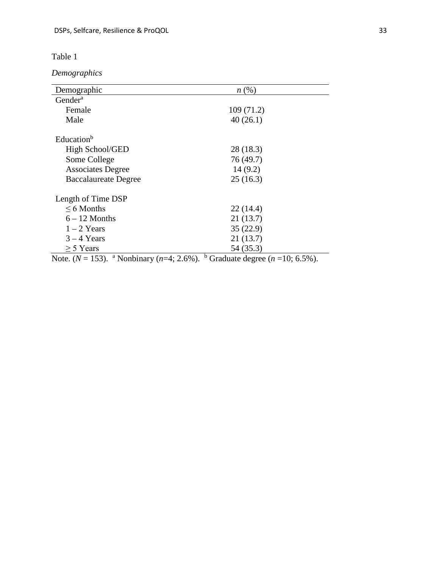*Demographics*

| Demographic                                                  | $n\left(\%\right)$                               |
|--------------------------------------------------------------|--------------------------------------------------|
| Gender <sup>a</sup>                                          |                                                  |
| Female                                                       | 109(71.2)                                        |
| Male                                                         | 40(26.1)                                         |
| Education <sup>b</sup>                                       |                                                  |
| High School/GED                                              | 28 (18.3)                                        |
| Some College                                                 | 76 (49.7)                                        |
| <b>Associates Degree</b>                                     | 14(9.2)                                          |
| <b>Baccalaureate Degree</b>                                  | 25(16.3)                                         |
| Length of Time DSP                                           |                                                  |
| $\leq 6$ Months                                              | 22(14.4)                                         |
| $6 - 12$ Months                                              | 21(13.7)                                         |
| $1-2$ Years                                                  | 35(22.9)                                         |
| $3 - 4$ Years                                                | 21(13.7)                                         |
| $\geq$ 5 Years                                               | 54 (35.3)                                        |
| Note. ( $N = 153$ ). <sup>a</sup> Nonbinary ( $n=4$ ; 2.6%). | $\mathbf b$<br>Graduate degree $(n=10, 6.5\%)$ . |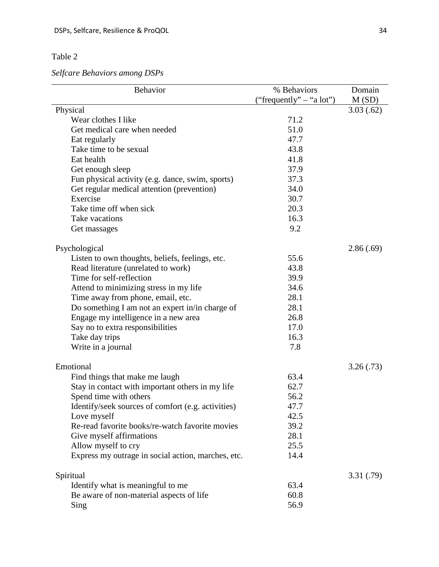*Selfcare Behaviors among DSPs*

| Behavior                                           | % Behaviors              | Domain    |
|----------------------------------------------------|--------------------------|-----------|
|                                                    | ("frequently" – "a lot") | M(SD)     |
| Physical                                           |                          | 3.03(.62) |
| Wear clothes I like                                | 71.2                     |           |
| Get medical care when needed                       | 51.0                     |           |
| Eat regularly                                      | 47.7                     |           |
| Take time to be sexual                             | 43.8                     |           |
| Eat health                                         | 41.8                     |           |
| Get enough sleep                                   | 37.9                     |           |
| Fun physical activity (e.g. dance, swim, sports)   | 37.3                     |           |
| Get regular medical attention (prevention)         | 34.0                     |           |
| Exercise                                           | 30.7                     |           |
| Take time off when sick                            | 20.3                     |           |
| Take vacations                                     | 16.3                     |           |
| Get massages                                       | 9.2                      |           |
|                                                    |                          |           |
| Psychological                                      |                          | 2.86(.69) |
| Listen to own thoughts, beliefs, feelings, etc.    | 55.6                     |           |
| Read literature (unrelated to work)                | 43.8                     |           |
| Time for self-reflection                           | 39.9                     |           |
| Attend to minimizing stress in my life             | 34.6                     |           |
| Time away from phone, email, etc.                  | 28.1                     |           |
| Do something I am not an expert in/in charge of    | 28.1                     |           |
| Engage my intelligence in a new area               | 26.8                     |           |
| Say no to extra responsibilities                   | 17.0                     |           |
| Take day trips                                     | 16.3                     |           |
| Write in a journal                                 | 7.8                      |           |
| Emotional                                          |                          | 3.26(.73) |
| Find things that make me laugh                     | 63.4                     |           |
| Stay in contact with important others in my life   | 62.7                     |           |
| Spend time with others                             | 56.2                     |           |
| Identify/seek sources of comfort (e.g. activities) | 47.7                     |           |
| Love myself                                        | 42.5                     |           |
| Re-read favorite books/re-watch favorite movies    | 39.2                     |           |
| Give myself affirmations                           | 28.1                     |           |
| Allow myself to cry                                | 25.5                     |           |
| Express my outrage in social action, marches, etc. | 14.4                     |           |
|                                                    |                          |           |
| Spiritual                                          |                          | 3.31(.79) |
| Identify what is meaningful to me                  | 63.4                     |           |
| Be aware of non-material aspects of life           | 60.8                     |           |
| Sing                                               | 56.9                     |           |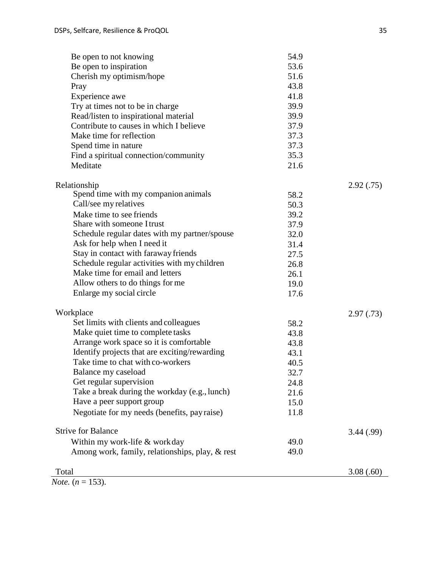| Be open to not knowing                          | 54.9 |            |
|-------------------------------------------------|------|------------|
| Be open to inspiration                          | 53.6 |            |
| Cherish my optimism/hope                        | 51.6 |            |
| Pray                                            | 43.8 |            |
| Experience awe                                  | 41.8 |            |
| Try at times not to be in charge                | 39.9 |            |
| Read/listen to inspirational material           | 39.9 |            |
| Contribute to causes in which I believe         | 37.9 |            |
| Make time for reflection                        | 37.3 |            |
| Spend time in nature                            | 37.3 |            |
| Find a spiritual connection/community           | 35.3 |            |
| Meditate                                        | 21.6 |            |
| Relationship                                    |      | 2.92(.75)  |
| Spend time with my companion animals            | 58.2 |            |
| Call/see my relatives                           | 50.3 |            |
| Make time to see friends                        | 39.2 |            |
| Share with someone I trust                      | 37.9 |            |
| Schedule regular dates with my partner/spouse   | 32.0 |            |
| Ask for help when I need it                     | 31.4 |            |
| Stay in contact with faraway friends            | 27.5 |            |
| Schedule regular activities with my children    | 26.8 |            |
| Make time for email and letters                 | 26.1 |            |
| Allow others to do things for me                | 19.0 |            |
| Enlarge my social circle                        | 17.6 |            |
| Workplace                                       |      | 2.97(0.73) |
| Set limits with clients and colleagues          | 58.2 |            |
| Make quiet time to complete tasks               | 43.8 |            |
| Arrange work space so it is comfortable         | 43.8 |            |
| Identify projects that are exciting/rewarding   | 43.1 |            |
| Take time to chat with co-workers               | 40.5 |            |
| Balance my caseload                             | 32.7 |            |
| Get regular supervision                         | 24.8 |            |
| Take a break during the workday (e.g., lunch)   | 21.6 |            |
| Have a peer support group                       | 15.0 |            |
| Negotiate for my needs (benefits, pay raise)    | 11.8 |            |
| <b>Strive for Balance</b>                       |      | 3.44 (.99) |
| Within my work-life & workday                   | 49.0 |            |
| Among work, family, relationships, play, & rest | 49.0 |            |
| Total                                           |      | 3.08(.60)  |
| 1.50                                            |      |            |

 $\overline{Note. (n = 153)}$ .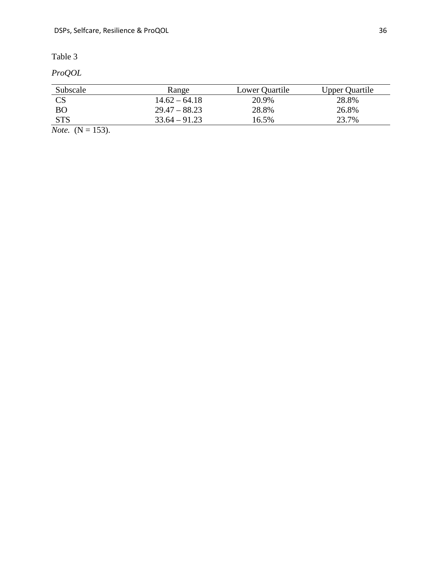*ProQOL* 

| Subscale                                            | Range           | Lower Quartile | <b>Upper Quartile</b> |
|-----------------------------------------------------|-----------------|----------------|-----------------------|
| <b>CS</b>                                           | $14.62 - 64.18$ | 20.9%          | 28.8%                 |
| BO                                                  | $29.47 - 88.23$ | 28.8%          | 26.8%                 |
| <b>STS</b>                                          | $33.64 - 91.23$ | 16.5%          | 23.7%                 |
| $\mathbf{M}$ $\mathbf{M}$ $\mathbf{M}$ $\mathbf{M}$ |                 |                |                       |

*Note.* (N = 153).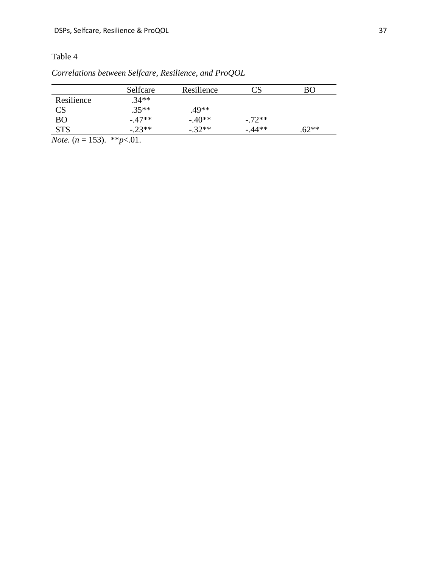|                        | Selfcare | Resilience |           | BО      |
|------------------------|----------|------------|-----------|---------|
| Resilience             | $.34**$  |            |           |         |
| $\overline{\text{CS}}$ | $.35**$  | .49**      |           |         |
| <b>BO</b>              | $-.47**$ | $-.40**$   | $-.72**$  |         |
| <b>STS</b>             | $-.23**$ | $-32**$    | $-0.44**$ | $.62**$ |

*Correlations between Selfcare, Resilience, and ProQOL*

*Note.*  $(n = 153)$ . \*\**p*<*01.*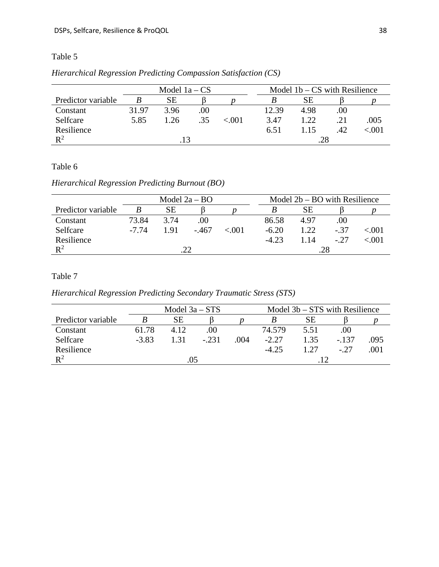|                    | Model $1a - CS$ |      |      |       |       | Model $1b - CS$ with Resilience |     |       |  |
|--------------------|-----------------|------|------|-------|-------|---------------------------------|-----|-------|--|
| Predictor variable |                 | SЕ   |      |       |       | SЕ                              |     |       |  |
| Constant           | 31.97           | 3.96 | .00. |       | 12.39 | 4.98                            | .00 |       |  |
| Selfcare           | 5.85            | 1.26 | .35  | <.001 | 3.47  | 1.22                            | .21 | .005  |  |
| Resilience         |                 |      |      |       | 6.51  | 1.15                            | .42 | <.001 |  |
| $\mathbb{R}^2$     | 13              |      |      |       |       | .28                             |     |       |  |

# *Hierarchical Regression Predicting Compassion Satisfaction (CS)*

# Table 6

# *Hierarchical Regression Predicting Burnout (BO)*

|                    | Model $2a - BO$ |      |         |        | Model $2b - BO$ with Resilience |       |        |           |
|--------------------|-----------------|------|---------|--------|---------------------------------|-------|--------|-----------|
| Predictor variable |                 | SЕ   |         |        |                                 | SЕ    |        |           |
| Constant           | 73.84           | 3.74 | .00     |        | 86.58                           | 4.97  | .00    |           |
| Selfcare           | -7.74           | 1.91 | $-.467$ | < 0.01 | $-6.20$                         | 1.22. | $-.37$ | ${<}.001$ |
| Resilience         |                 |      |         |        | $-4.23$                         | 1.14  | $-27$  | <.001     |
| $\mathsf{R}^2$     |                 | 22   |         |        |                                 | .28   |        |           |

### Table 7

## *Hierarchical Regression Predicting Secondary Traumatic Stress (STS)*

|                    | Model $3b - STS$ with Resilience<br>Model $3a - STS$ |      |         |      |         |      |        |      |
|--------------------|------------------------------------------------------|------|---------|------|---------|------|--------|------|
| Predictor variable |                                                      | SЕ   |         |      |         | SЕ   |        |      |
| Constant           | 61.78                                                | 4.12 | 00      |      | 74.579  | 5.51 | .00.   |      |
| Selfcare           | $-3.83$                                              | 1.31 | $-.231$ | .004 | $-2.27$ | 1.35 | $-137$ | .095 |
| Resilience         |                                                      |      |         |      | $-4.25$ |      | $-.27$ | .001 |
| $\mathsf{R}^2$     |                                                      | .05  |         |      |         |      |        |      |